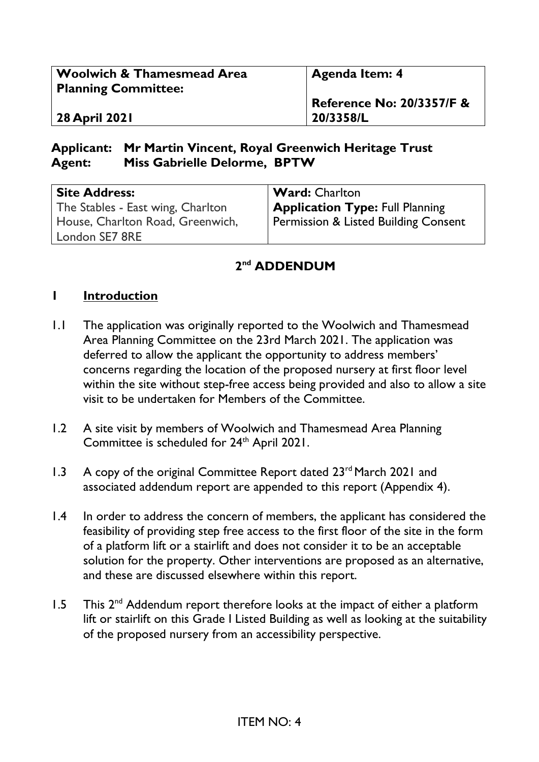| <b>Woolwich &amp; Thamesmead Area</b><br><b>Planning Committee:</b> | Agenda Item: 4                       |
|---------------------------------------------------------------------|--------------------------------------|
|                                                                     | <b>Reference No: 20/3357/F &amp;</b> |
| <b>28 April 2021</b>                                                | 20/3358/L                            |

#### **Applicant: Mr Martin Vincent, Royal Greenwich Heritage Trust Agent: Miss Gabrielle Delorme, BPTW**

| <b>Site Address:</b><br>The Stables - East wing, Charlton | <b>Ward:</b> Charlton<br><b>Application Type: Full Planning</b> |
|-----------------------------------------------------------|-----------------------------------------------------------------|
| House, Charlton Road, Greenwich,                          | <b>Permission &amp; Listed Building Consent</b>                 |
| London SE7 8RE                                            |                                                                 |

## **2 nd ADDENDUM**

#### **1 Introduction**

- 1.1 The application was originally reported to the Woolwich and Thamesmead Area Planning Committee on the 23rd March 2021. The application was deferred to allow the applicant the opportunity to address members' concerns regarding the location of the proposed nursery at first floor level within the site without step-free access being provided and also to allow a site visit to be undertaken for Members of the Committee.
- 1.2 A site visit by members of Woolwich and Thamesmead Area Planning Committee is scheduled for 24<sup>th</sup> April 2021.
- 1.3 A copy of the original Committee Report dated 23<sup>rd</sup> March 2021 and associated addendum report are appended to this report (Appendix 4).
- 1.4 In order to address the concern of members, the applicant has considered the feasibility of providing step free access to the first floor of the site in the form of a platform lift or a stairlift and does not consider it to be an acceptable solution for the property. Other interventions are proposed as an alternative, and these are discussed elsewhere within this report.
- 1.5 This  $2<sup>nd</sup>$  Addendum report therefore looks at the impact of either a platform lift or stairlift on this Grade I Listed Building as well as looking at the suitability of the proposed nursery from an accessibility perspective.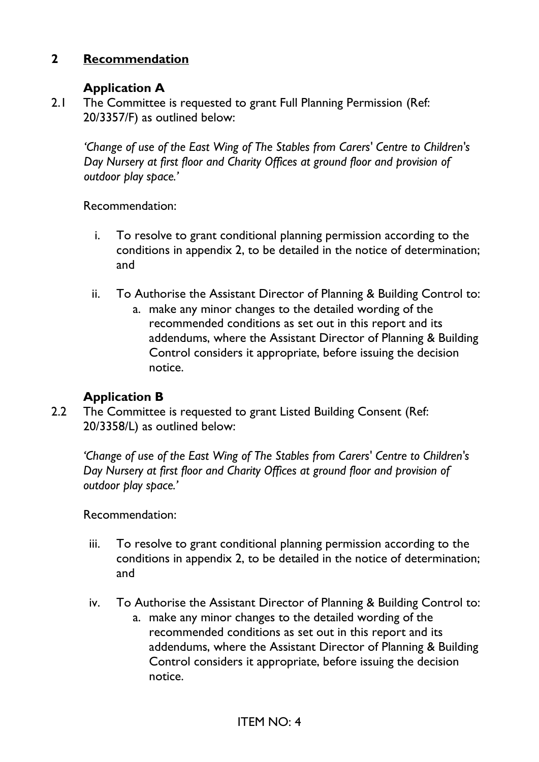### **2 Recommendation**

#### **Application A**

2.1 The Committee is requested to grant Full Planning Permission (Ref: 20/3357/F) as outlined below:

*'Change of use of the East Wing of The Stables from Carers' Centre to Children's Day Nursery at first floor and Charity Offices at ground floor and provision of outdoor play space.'*

Recommendation:

- i. To resolve to grant conditional planning permission according to the conditions in appendix 2, to be detailed in the notice of determination; and
- ii. To Authorise the Assistant Director of Planning & Building Control to:
	- a. make any minor changes to the detailed wording of the recommended conditions as set out in this report and its addendums, where the Assistant Director of Planning & Building Control considers it appropriate, before issuing the decision notice.

#### **Application B**

2.2 The Committee is requested to grant Listed Building Consent (Ref: 20/3358/L) as outlined below:

*'Change of use of the East Wing of The Stables from Carers' Centre to Children's Day Nursery at first floor and Charity Offices at ground floor and provision of outdoor play space.'* 

Recommendation:

- iii. To resolve to grant conditional planning permission according to the conditions in appendix 2, to be detailed in the notice of determination; and
- iv. To Authorise the Assistant Director of Planning & Building Control to:
	- a. make any minor changes to the detailed wording of the recommended conditions as set out in this report and its addendums, where the Assistant Director of Planning & Building Control considers it appropriate, before issuing the decision notice.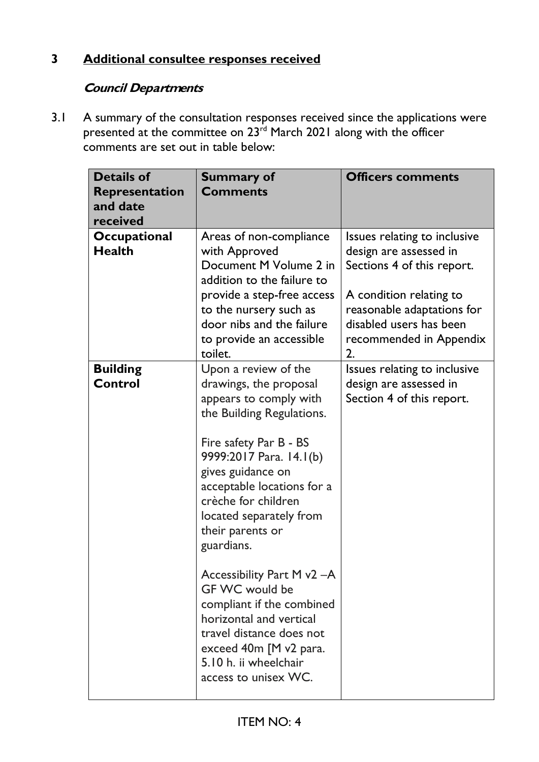# **3 Additional consultee responses received**

# **Council Departments**

3.1 A summary of the consultation responses received since the applications were presented at the committee on 23<sup>rd</sup> March 2021 along with the officer comments are set out in table below:

| <b>Details of</b><br><b>Representation</b><br>and date<br>received | <b>Summary of</b><br><b>Comments</b>                                                                                                                                                                                                                                                              | <b>Officers comments</b>                                                                                                                                                                                  |
|--------------------------------------------------------------------|---------------------------------------------------------------------------------------------------------------------------------------------------------------------------------------------------------------------------------------------------------------------------------------------------|-----------------------------------------------------------------------------------------------------------------------------------------------------------------------------------------------------------|
| <b>Occupational</b><br><b>Health</b>                               | Areas of non-compliance<br>with Approved<br>Document M Volume 2 in<br>addition to the failure to<br>provide a step-free access<br>to the nursery such as<br>door nibs and the failure<br>to provide an accessible<br>toilet.                                                                      | Issues relating to inclusive<br>design are assessed in<br>Sections 4 of this report.<br>A condition relating to<br>reasonable adaptations for<br>disabled users has been<br>recommended in Appendix<br>2. |
| <b>Building</b><br><b>Control</b>                                  | Upon a review of the<br>drawings, the proposal<br>appears to comply with<br>the Building Regulations.<br>Fire safety Par B - BS<br>9999:2017 Para. 14.1(b)<br>gives guidance on<br>acceptable locations for a<br>crèche for children<br>located separately from<br>their parents or<br>guardians. | Issues relating to inclusive<br>design are assessed in<br>Section 4 of this report.                                                                                                                       |
|                                                                    | Accessibility Part M v2 -A<br>GF WC would be<br>compliant if the combined<br>horizontal and vertical<br>travel distance does not<br>exceed 40m [M v2 para.<br>5.10 h. ii wheelchair<br>access to unisex WC.                                                                                       |                                                                                                                                                                                                           |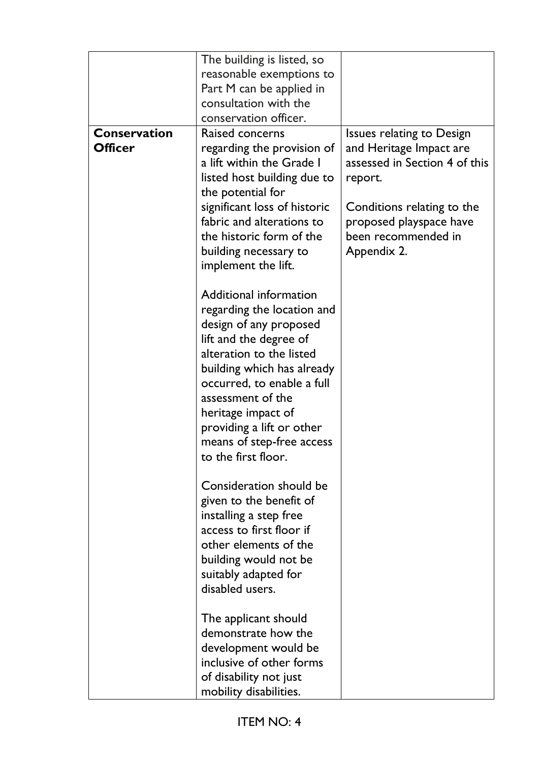|                     | The building is listed, so   |                                  |
|---------------------|------------------------------|----------------------------------|
|                     | reasonable exemptions to     |                                  |
|                     | Part M can be applied in     |                                  |
|                     | consultation with the        |                                  |
|                     | conservation officer.        |                                  |
| <b>Conservation</b> | Raised concerns              | <b>Issues relating to Design</b> |
| <b>Officer</b>      | regarding the provision of   | and Heritage Impact are          |
|                     | a lift within the Grade I    | assessed in Section 4 of this    |
|                     | listed host building due to  | report.                          |
|                     | the potential for            |                                  |
|                     | significant loss of historic | Conditions relating to the       |
|                     | fabric and alterations to    | proposed playspace have          |
|                     | the historic form of the     | been recommended in              |
|                     | building necessary to        | Appendix 2.                      |
|                     | implement the lift.          |                                  |
|                     |                              |                                  |
|                     | Additional information       |                                  |
|                     | regarding the location and   |                                  |
|                     | design of any proposed       |                                  |
|                     | lift and the degree of       |                                  |
|                     | alteration to the listed     |                                  |
|                     | building which has already   |                                  |
|                     | occurred, to enable a full   |                                  |
|                     | assessment of the            |                                  |
|                     | heritage impact of           |                                  |
|                     | providing a lift or other    |                                  |
|                     | means of step-free access    |                                  |
|                     | to the first floor.          |                                  |
|                     |                              |                                  |
|                     | Consideration should be      |                                  |
|                     | given to the benefit of      |                                  |
|                     | installing a step free       |                                  |
|                     | access to first floor if     |                                  |
|                     | other elements of the        |                                  |
|                     | building would not be        |                                  |
|                     | suitably adapted for         |                                  |
|                     | disabled users.              |                                  |
|                     |                              |                                  |
|                     | The applicant should         |                                  |
|                     | demonstrate how the          |                                  |
|                     | development would be         |                                  |
|                     | inclusive of other forms     |                                  |
|                     | of disability not just       |                                  |
|                     | mobility disabilities.       |                                  |
|                     |                              |                                  |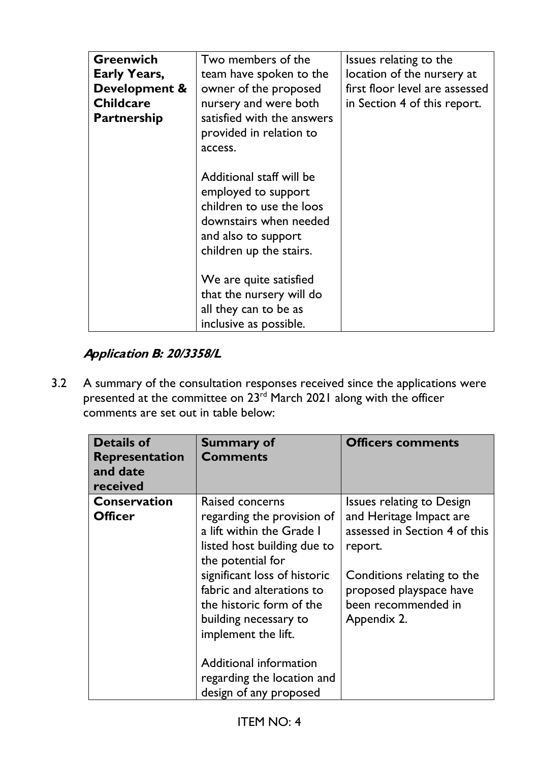| <b>Greenwich</b><br><b>Early Years,</b><br>Development &<br><b>Childcare</b><br><b>Partnership</b> | Two members of the<br>team have spoken to the<br>owner of the proposed<br>nursery and were both<br>satisfied with the answers<br>provided in relation to<br>access. | Issues relating to the<br>location of the nursery at<br>first floor level are assessed<br>in Section 4 of this report. |
|----------------------------------------------------------------------------------------------------|---------------------------------------------------------------------------------------------------------------------------------------------------------------------|------------------------------------------------------------------------------------------------------------------------|
|                                                                                                    | Additional staff will be<br>employed to support<br>children to use the loos<br>downstairs when needed<br>and also to support<br>children up the stairs.             |                                                                                                                        |
|                                                                                                    | We are quite satisfied<br>that the nursery will do<br>all they can to be as<br>inclusive as possible.                                                               |                                                                                                                        |

# **Application B: 20/3358/L**

3.2 A summary of the consultation responses received since the applications were presented at the committee on 23<sup>rd</sup> March 2021 along with the officer comments are set out in table below:

| <b>Details of</b><br>Representation<br>and date<br>received | <b>Summary of</b><br><b>Comments</b>                                                                                                                                                                                                                                                                                                                      | <b>Officers comments</b>                                                                                                                                                                               |
|-------------------------------------------------------------|-----------------------------------------------------------------------------------------------------------------------------------------------------------------------------------------------------------------------------------------------------------------------------------------------------------------------------------------------------------|--------------------------------------------------------------------------------------------------------------------------------------------------------------------------------------------------------|
| <b>Conservation</b><br><b>Officer</b>                       | Raised concerns<br>regarding the provision of<br>a lift within the Grade I<br>listed host building due to<br>the potential for<br>significant loss of historic<br>fabric and alterations to<br>the historic form of the<br>building necessary to<br>implement the lift.<br>Additional information<br>regarding the location and<br>design of any proposed | <b>Issues relating to Design</b><br>and Heritage Impact are<br>assessed in Section 4 of this<br>report.<br>Conditions relating to the<br>proposed playspace have<br>been recommended in<br>Appendix 2. |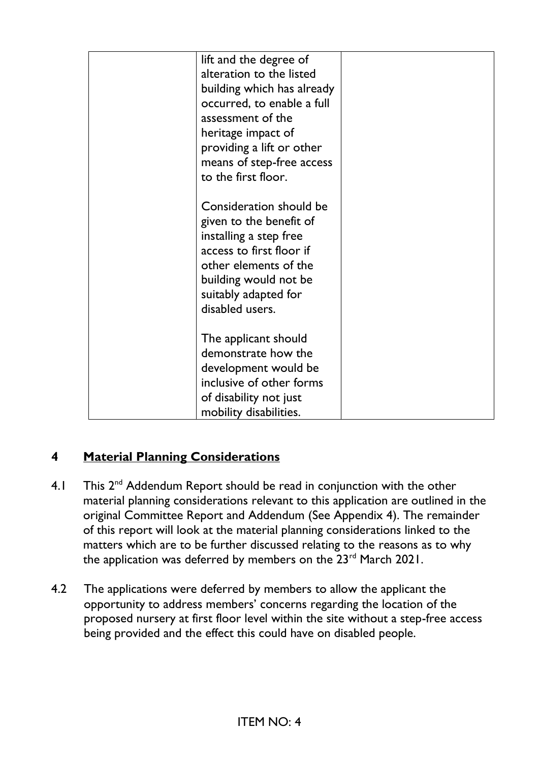| lift and the degree of<br>alteration to the listed<br>building which has already<br>occurred, to enable a full<br>assessment of the<br>heritage impact of<br>providing a lift or other<br>means of step-free access<br>to the first floor. |  |
|--------------------------------------------------------------------------------------------------------------------------------------------------------------------------------------------------------------------------------------------|--|
| Consideration should be<br>given to the benefit of<br>installing a step free<br>access to first floor if<br>other elements of the<br>building would not be<br>suitably adapted for<br>disabled users.                                      |  |
| The applicant should<br>demonstrate how the<br>development would be<br>inclusive of other forms<br>of disability not just<br>mobility disabilities.                                                                                        |  |

# **4 Material Planning Considerations**

- 4.1 This 2<sup>nd</sup> Addendum Report should be read in conjunction with the other material planning considerations relevant to this application are outlined in the original Committee Report and Addendum (See Appendix 4). The remainder of this report will look at the material planning considerations linked to the matters which are to be further discussed relating to the reasons as to why the application was deferred by members on the 23<sup>rd</sup> March 2021.
- 4.2 The applications were deferred by members to allow the applicant the opportunity to address members' concerns regarding the location of the proposed nursery at first floor level within the site without a step-free access being provided and the effect this could have on disabled people.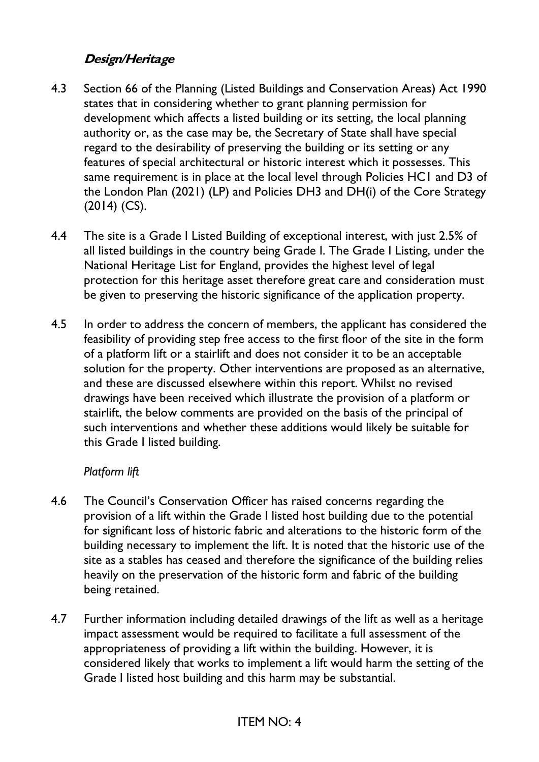### **Design/Heritage**

- 4.3 Section 66 of the Planning (Listed Buildings and Conservation Areas) Act 1990 states that in considering whether to grant planning permission for development which affects a listed building or its setting, the local planning authority or, as the case may be, the Secretary of State shall have special regard to the desirability of preserving the building or its setting or any features of special architectural or historic interest which it possesses. This same requirement is in place at the local level through Policies HC1 and D3 of the London Plan (2021) (LP) and Policies DH3 and DH(i) of the Core Strategy (2014) (CS).
- 4.4 The site is a Grade I Listed Building of exceptional interest, with just 2.5% of all listed buildings in the country being Grade I. The Grade I Listing, under the National Heritage List for England, provides the highest level of legal protection for this heritage asset therefore great care and consideration must be given to preserving the historic significance of the application property.
- 4.5 In order to address the concern of members, the applicant has considered the feasibility of providing step free access to the first floor of the site in the form of a platform lift or a stairlift and does not consider it to be an acceptable solution for the property. Other interventions are proposed as an alternative, and these are discussed elsewhere within this report. Whilst no revised drawings have been received which illustrate the provision of a platform or stairlift, the below comments are provided on the basis of the principal of such interventions and whether these additions would likely be suitable for this Grade I listed building.

#### *Platform lift*

- 4.6 The Council's Conservation Officer has raised concerns regarding the provision of a lift within the Grade I listed host building due to the potential for significant loss of historic fabric and alterations to the historic form of the building necessary to implement the lift. It is noted that the historic use of the site as a stables has ceased and therefore the significance of the building relies heavily on the preservation of the historic form and fabric of the building being retained.
- 4.7 Further information including detailed drawings of the lift as well as a heritage impact assessment would be required to facilitate a full assessment of the appropriateness of providing a lift within the building. However, it is considered likely that works to implement a lift would harm the setting of the Grade I listed host building and this harm may be substantial.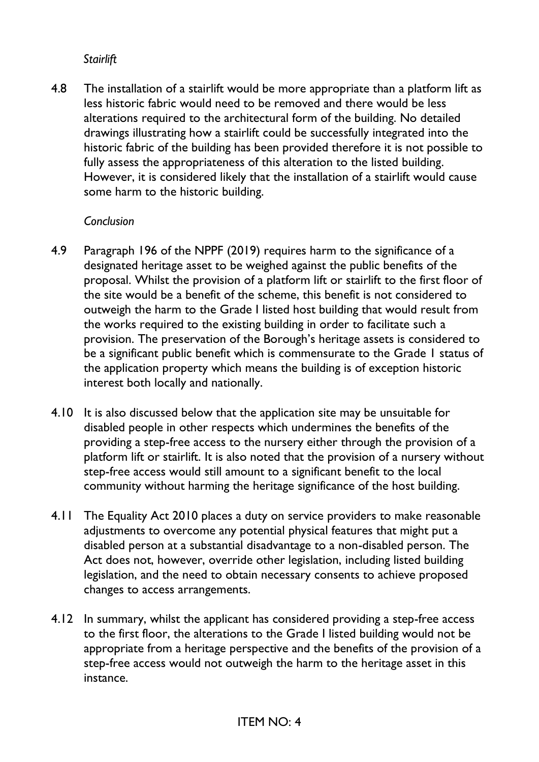#### *Stairlift*

4.8 The installation of a stairlift would be more appropriate than a platform lift as less historic fabric would need to be removed and there would be less alterations required to the architectural form of the building. No detailed drawings illustrating how a stairlift could be successfully integrated into the historic fabric of the building has been provided therefore it is not possible to fully assess the appropriateness of this alteration to the listed building. However, it is considered likely that the installation of a stairlift would cause some harm to the historic building.

#### *Conclusion*

- 4.9 Paragraph 196 of the NPPF (2019) requires harm to the significance of a designated heritage asset to be weighed against the public benefits of the proposal. Whilst the provision of a platform lift or stairlift to the first floor of the site would be a benefit of the scheme, this benefit is not considered to outweigh the harm to the Grade I listed host building that would result from the works required to the existing building in order to facilitate such a provision. The preservation of the Borough's heritage assets is considered to be a significant public benefit which is commensurate to the Grade 1 status of the application property which means the building is of exception historic interest both locally and nationally.
- 4.10 It is also discussed below that the application site may be unsuitable for disabled people in other respects which undermines the benefits of the providing a step-free access to the nursery either through the provision of a platform lift or stairlift. It is also noted that the provision of a nursery without step-free access would still amount to a significant benefit to the local community without harming the heritage significance of the host building.
- 4.11 The Equality Act 2010 places a duty on service providers to make reasonable adjustments to overcome any potential physical features that might put a disabled person at a substantial disadvantage to a non-disabled person. The Act does not, however, override other legislation, including listed building legislation, and the need to obtain necessary consents to achieve proposed changes to access arrangements.
- 4.12 In summary, whilst the applicant has considered providing a step-free access to the first floor, the alterations to the Grade I listed building would not be appropriate from a heritage perspective and the benefits of the provision of a step-free access would not outweigh the harm to the heritage asset in this instance.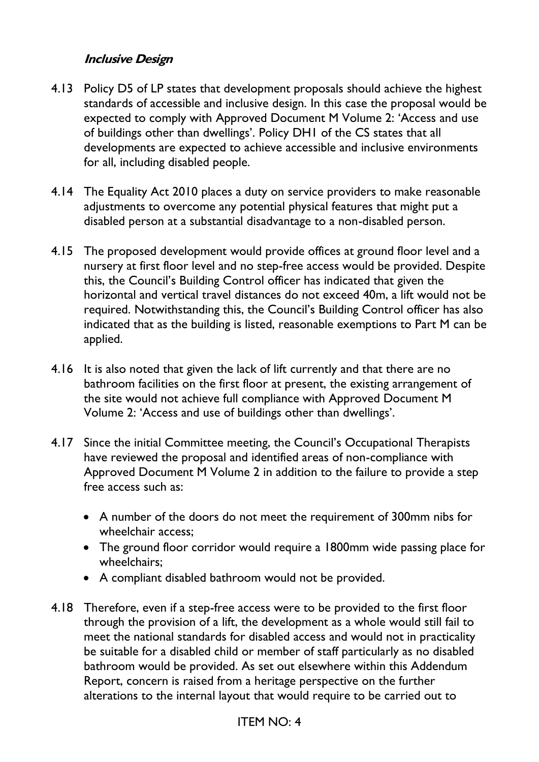#### **Inclusive Design**

- 4.13 Policy D5 of LP states that development proposals should achieve the highest standards of accessible and inclusive design. In this case the proposal would be expected to comply with Approved Document M Volume 2: 'Access and use of buildings other than dwellings'. Policy DH1 of the CS states that all developments are expected to achieve accessible and inclusive environments for all, including disabled people.
- 4.14 The Equality Act 2010 places a duty on service providers to make reasonable adjustments to overcome any potential physical features that might put a disabled person at a substantial disadvantage to a non-disabled person.
- 4.15 The proposed development would provide offices at ground floor level and a nursery at first floor level and no step-free access would be provided. Despite this, the Council's Building Control officer has indicated that given the horizontal and vertical travel distances do not exceed 40m, a lift would not be required. Notwithstanding this, the Council's Building Control officer has also indicated that as the building is listed, reasonable exemptions to Part M can be applied.
- 4.16 It is also noted that given the lack of lift currently and that there are no bathroom facilities on the first floor at present, the existing arrangement of the site would not achieve full compliance with Approved Document M Volume 2: 'Access and use of buildings other than dwellings'.
- 4.17 Since the initial Committee meeting, the Council's Occupational Therapists have reviewed the proposal and identified areas of non-compliance with Approved Document M Volume 2 in addition to the failure to provide a step free access such as:
	- A number of the doors do not meet the requirement of 300mm nibs for wheelchair access;
	- The ground floor corridor would require a 1800mm wide passing place for wheelchairs;
	- A compliant disabled bathroom would not be provided.
- 4.18 Therefore, even if a step-free access were to be provided to the first floor through the provision of a lift, the development as a whole would still fail to meet the national standards for disabled access and would not in practicality be suitable for a disabled child or member of staff particularly as no disabled bathroom would be provided. As set out elsewhere within this Addendum Report, concern is raised from a heritage perspective on the further alterations to the internal layout that would require to be carried out to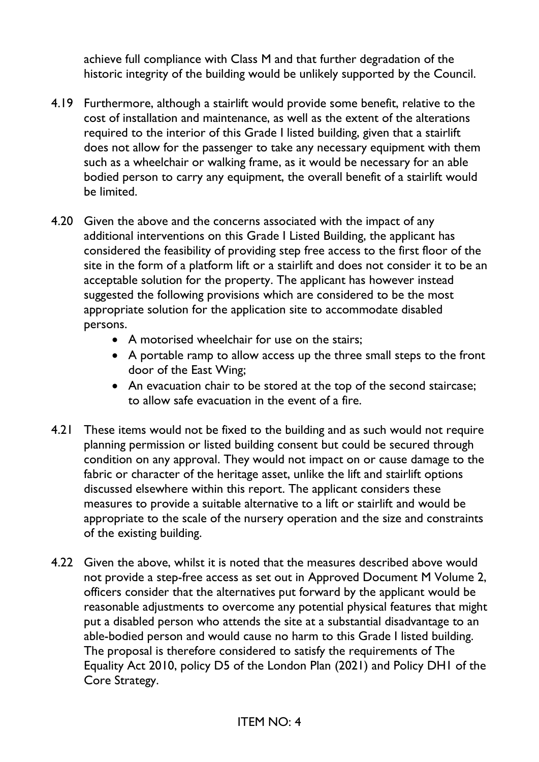achieve full compliance with Class M and that further degradation of the historic integrity of the building would be unlikely supported by the Council.

- 4.19 Furthermore, although a stairlift would provide some benefit, relative to the cost of installation and maintenance, as well as the extent of the alterations required to the interior of this Grade I listed building, given that a stairlift does not allow for the passenger to take any necessary equipment with them such as a wheelchair or walking frame, as it would be necessary for an able bodied person to carry any equipment, the overall benefit of a stairlift would be limited.
- 4.20 Given the above and the concerns associated with the impact of any additional interventions on this Grade I Listed Building, the applicant has considered the feasibility of providing step free access to the first floor of the site in the form of a platform lift or a stairlift and does not consider it to be an acceptable solution for the property. The applicant has however instead suggested the following provisions which are considered to be the most appropriate solution for the application site to accommodate disabled persons.
	- A motorised wheelchair for use on the stairs;
	- A portable ramp to allow access up the three small steps to the front door of the East Wing;
	- An evacuation chair to be stored at the top of the second staircase; to allow safe evacuation in the event of a fire.
- 4.21 These items would not be fixed to the building and as such would not require planning permission or listed building consent but could be secured through condition on any approval. They would not impact on or cause damage to the fabric or character of the heritage asset, unlike the lift and stairlift options discussed elsewhere within this report. The applicant considers these measures to provide a suitable alternative to a lift or stairlift and would be appropriate to the scale of the nursery operation and the size and constraints of the existing building.
- 4.22 Given the above, whilst it is noted that the measures described above would not provide a step-free access as set out in Approved Document M Volume 2, officers consider that the alternatives put forward by the applicant would be reasonable adjustments to overcome any potential physical features that might put a disabled person who attends the site at a substantial disadvantage to an able-bodied person and would cause no harm to this Grade I listed building. The proposal is therefore considered to satisfy the requirements of The Equality Act 2010, policy D5 of the London Plan (2021) and Policy DH1 of the Core Strategy.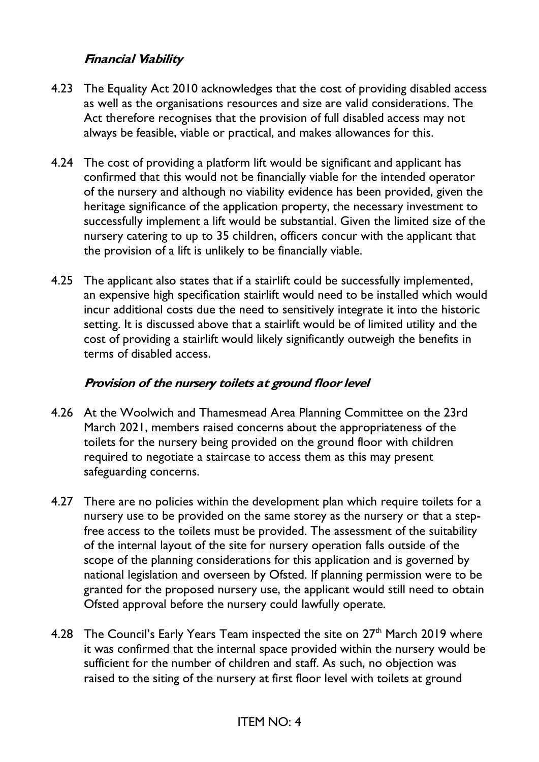#### **Financial Viability**

- 4.23 The Equality Act 2010 acknowledges that the cost of providing disabled access as well as the organisations resources and size are valid considerations. The Act therefore recognises that the provision of full disabled access may not always be feasible, viable or practical, and makes allowances for this.
- 4.24 The cost of providing a platform lift would be significant and applicant has confirmed that this would not be financially viable for the intended operator of the nursery and although no viability evidence has been provided, given the heritage significance of the application property, the necessary investment to successfully implement a lift would be substantial. Given the limited size of the nursery catering to up to 35 children, officers concur with the applicant that the provision of a lift is unlikely to be financially viable.
- 4.25 The applicant also states that if a stairlift could be successfully implemented, an expensive high specification stairlift would need to be installed which would incur additional costs due the need to sensitively integrate it into the historic setting. It is discussed above that a stairlift would be of limited utility and the cost of providing a stairlift would likely significantly outweigh the benefits in terms of disabled access.

#### **Provision of the nursery toilets at ground floor level**

- 4.26 At the Woolwich and Thamesmead Area Planning Committee on the 23rd March 2021, members raised concerns about the appropriateness of the toilets for the nursery being provided on the ground floor with children required to negotiate a staircase to access them as this may present safeguarding concerns.
- 4.27 There are no policies within the development plan which require toilets for a nursery use to be provided on the same storey as the nursery or that a stepfree access to the toilets must be provided. The assessment of the suitability of the internal layout of the site for nursery operation falls outside of the scope of the planning considerations for this application and is governed by national legislation and overseen by Ofsted. If planning permission were to be granted for the proposed nursery use, the applicant would still need to obtain Ofsted approval before the nursery could lawfully operate.
- 4.28 The Council's Early Years Team inspected the site on 27<sup>th</sup> March 2019 where it was confirmed that the internal space provided within the nursery would be sufficient for the number of children and staff. As such, no objection was raised to the siting of the nursery at first floor level with toilets at ground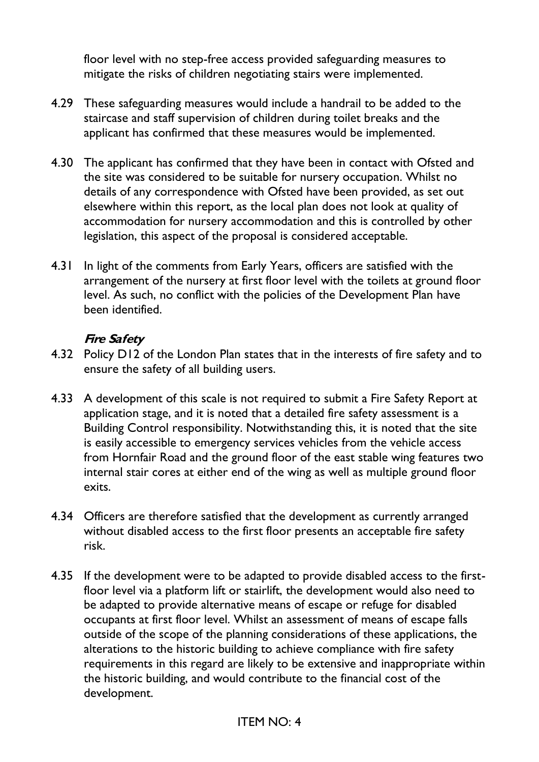floor level with no step-free access provided safeguarding measures to mitigate the risks of children negotiating stairs were implemented.

- 4.29 These safeguarding measures would include a handrail to be added to the staircase and staff supervision of children during toilet breaks and the applicant has confirmed that these measures would be implemented.
- 4.30 The applicant has confirmed that they have been in contact with Ofsted and the site was considered to be suitable for nursery occupation. Whilst no details of any correspondence with Ofsted have been provided, as set out elsewhere within this report, as the local plan does not look at quality of accommodation for nursery accommodation and this is controlled by other legislation, this aspect of the proposal is considered acceptable.
- 4.31 In light of the comments from Early Years, officers are satisfied with the arrangement of the nursery at first floor level with the toilets at ground floor level. As such, no conflict with the policies of the Development Plan have been identified.

#### **Fire Safety**

- 4.32 Policy D12 of the London Plan states that in the interests of fire safety and to ensure the safety of all building users.
- 4.33 A development of this scale is not required to submit a Fire Safety Report at application stage, and it is noted that a detailed fire safety assessment is a Building Control responsibility. Notwithstanding this, it is noted that the site is easily accessible to emergency services vehicles from the vehicle access from Hornfair Road and the ground floor of the east stable wing features two internal stair cores at either end of the wing as well as multiple ground floor exits.
- 4.34 Officers are therefore satisfied that the development as currently arranged without disabled access to the first floor presents an acceptable fire safety risk.
- 4.35 If the development were to be adapted to provide disabled access to the firstfloor level via a platform lift or stairlift, the development would also need to be adapted to provide alternative means of escape or refuge for disabled occupants at first floor level. Whilst an assessment of means of escape falls outside of the scope of the planning considerations of these applications, the alterations to the historic building to achieve compliance with fire safety requirements in this regard are likely to be extensive and inappropriate within the historic building, and would contribute to the financial cost of the development.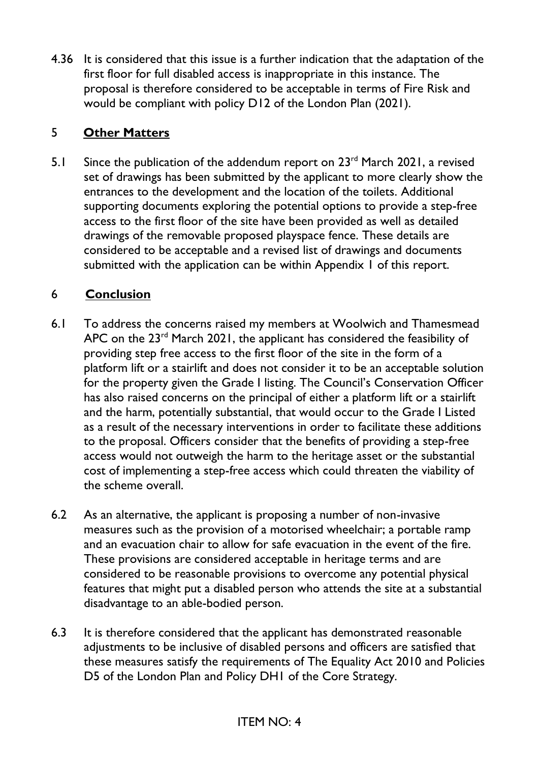4.36 It is considered that this issue is a further indication that the adaptation of the first floor for full disabled access is inappropriate in this instance. The proposal is therefore considered to be acceptable in terms of Fire Risk and would be compliant with policy D12 of the London Plan (2021).

### 5 **Other Matters**

5.1 Since the publication of the addendum report on  $23<sup>rd</sup>$  March 2021, a revised set of drawings has been submitted by the applicant to more clearly show the entrances to the development and the location of the toilets. Additional supporting documents exploring the potential options to provide a step-free access to the first floor of the site have been provided as well as detailed drawings of the removable proposed playspace fence. These details are considered to be acceptable and a revised list of drawings and documents submitted with the application can be within Appendix 1 of this report.

### 6 **Conclusion**

- 6.1 To address the concerns raised my members at Woolwich and Thamesmead APC on the  $23<sup>rd</sup>$  March 2021, the applicant has considered the feasibility of providing step free access to the first floor of the site in the form of a platform lift or a stairlift and does not consider it to be an acceptable solution for the property given the Grade I listing. The Council's Conservation Officer has also raised concerns on the principal of either a platform lift or a stairlift and the harm, potentially substantial, that would occur to the Grade I Listed as a result of the necessary interventions in order to facilitate these additions to the proposal. Officers consider that the benefits of providing a step-free access would not outweigh the harm to the heritage asset or the substantial cost of implementing a step-free access which could threaten the viability of the scheme overall.
- 6.2 As an alternative, the applicant is proposing a number of non-invasive measures such as the provision of a motorised wheelchair; a portable ramp and an evacuation chair to allow for safe evacuation in the event of the fire. These provisions are considered acceptable in heritage terms and are considered to be reasonable provisions to overcome any potential physical features that might put a disabled person who attends the site at a substantial disadvantage to an able-bodied person.
- 6.3 It is therefore considered that the applicant has demonstrated reasonable adjustments to be inclusive of disabled persons and officers are satisfied that these measures satisfy the requirements of The Equality Act 2010 and Policies D5 of the London Plan and Policy DH1 of the Core Strategy.